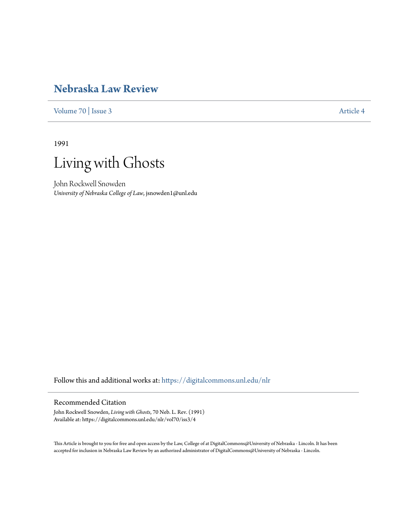## **[Nebraska Law Review](https://digitalcommons.unl.edu/nlr?utm_source=digitalcommons.unl.edu%2Fnlr%2Fvol70%2Fiss3%2F4&utm_medium=PDF&utm_campaign=PDFCoverPages)**

[Volume 70](https://digitalcommons.unl.edu/nlr/vol70?utm_source=digitalcommons.unl.edu%2Fnlr%2Fvol70%2Fiss3%2F4&utm_medium=PDF&utm_campaign=PDFCoverPages) | [Issue 3](https://digitalcommons.unl.edu/nlr/vol70/iss3?utm_source=digitalcommons.unl.edu%2Fnlr%2Fvol70%2Fiss3%2F4&utm_medium=PDF&utm_campaign=PDFCoverPages) [Article 4](https://digitalcommons.unl.edu/nlr/vol70/iss3/4?utm_source=digitalcommons.unl.edu%2Fnlr%2Fvol70%2Fiss3%2F4&utm_medium=PDF&utm_campaign=PDFCoverPages)

1991



John Rockwell Snowden *University of Nebraska College of Law*, jsnowden1@unl.edu

Follow this and additional works at: [https://digitalcommons.unl.edu/nlr](https://digitalcommons.unl.edu/nlr?utm_source=digitalcommons.unl.edu%2Fnlr%2Fvol70%2Fiss3%2F4&utm_medium=PDF&utm_campaign=PDFCoverPages)

## Recommended Citation

John Rockwell Snowden, *Living with Ghosts*, 70 Neb. L. Rev. (1991) Available at: https://digitalcommons.unl.edu/nlr/vol70/iss3/4

This Article is brought to you for free and open access by the Law, College of at DigitalCommons@University of Nebraska - Lincoln. It has been accepted for inclusion in Nebraska Law Review by an authorized administrator of DigitalCommons@University of Nebraska - Lincoln.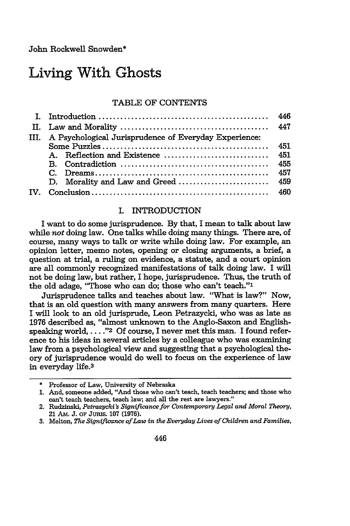John Rockwell Snowden\*

# Living With Ghosts

## TABLE OF CONTENTS

|              | III. A Psychological Jurisprudence of Everyday Experience: |     |
|--------------|------------------------------------------------------------|-----|
|              |                                                            | 451 |
|              |                                                            | 451 |
|              |                                                            | 455 |
|              |                                                            | 457 |
|              | D. Morality and Law and Greed                              | 459 |
| $\mathbf{W}$ |                                                            |     |

## I. INTRODUCTION

I want to do some jurisprudence. By that, I mean to talk about law while not doing law. One talks while doing many things. There are, of course, many ways to talk or write while doing law. For example, an opinion letter, memo notes, opening or closing arguments, a brief, a question at trial, a ruling on evidence, a statute, and a court opinion are all commonly recognized manifestations of talk doing law. I will not be doing law, but rather, I hope, jurisprudence. Thus, the truth of the old adage, "Those who can do; those who can't teach."'

Jurisprudence talks and teaches about law. "What is law?" Now, that is an old question with many answers from many quarters. Here I will look to an old jurisprude, Leon Petrazycki, who was as late as 1976 described as, "almost unknown to the Anglo-Saxon and Englishspeaking world, ...."<sup>2</sup> Of course, I never met this man. I found reference to his ideas in several articles by a colleague who was examining law from a psychological view and suggesting that a psychological theory of jurisprudence would do well to focus on the experience of law in everyday life.3

**<sup>\*</sup>** Professor of Law, University of Nebraska

**<sup>1.</sup>** And, someone added, "And those who can't teach, teach teachers; and those who can't teach teachers, teach law; and all the rest are lawyers."

<sup>2.</sup> Rudzinski, *Petrazycki's Significance for Contemporary Legal and Moral Theory,* 21 AM. J. OF JURIS. 107 (1976).

**<sup>3.</sup>** Melton, *The Significance of Law in the Everyday Lives of Children and Families,*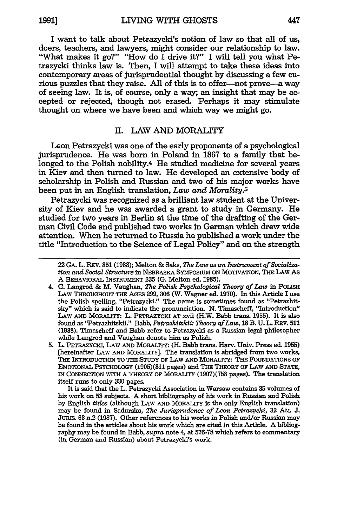I want to talk about Petrazycki's notion of law so that all of us, doers, teachers, and lawyers, might consider our relationship to law. "What makes it go?" "How do I drive it?" I will tell you what Petrazycki thinks law is. Then, I will attempt to take these ideas into contemporary areas of jurisprudential thought **by** discussing a few curious puzzles that they raise. **All** of this is to offer-not prove-a way of seeing law. It is, of course, only a way; an insight that may be accepted or rejected, though not erased. Perhaps it may stimulate thought on where we have been and which way we might go.

## II. LAW **AND** MORALITY

Leon Petrazycki was one of the early proponents of a psychological jurisprudence. He was born in Poland in **1867** to a family that belonged to the Polish nobility.4 He studied medicine for several years in Kiev and then turned to law. He developed an extensive body of scholarship in Polish and Russian and two of his major works have been put in an English translation, *Law and Morality.5*

Petrazycki was recognized as a brilliant law student at the University of Kiev and he was awarded a grant to study in Germany. He studied for two years in Berlin at the time of the drafting of the German Civil Code and published two works in German which drew wide attention. When he returned to Russia he published a work under the title "Introduction to the Science of Legal Policy" and on the strength

It is said that the L. Petrazycki Association in Warsaw contains **35** volumes of his work on **58** subjects. A short bibliography of his work in Russian and Polish **by** English *titles* (although LAw **AND MORALITY** is the only English translation) may be found in Sadurska, *The Jurisprudence of Leon Petrazycki*, 32 AM. J. Jumis. **63** n.2 **(1987).** Other references to his works in Polish and/or Russian may be found in the articles about his work which are cited in this Article. A bibliography may be found in Babb, *supra* note 4, at **576-78** which refers to commentary (in German and Russian) about Petrazycki's work.

<sup>22</sup> **GA.** L. REv. **851 (1988);** Melton **&** Saks, *The Law as an Instrument of Socialization and Social Structure* in NEBRASKA SYMPOSIUM ON MOTIVATION, THE LAW As A BEHAvioRAL INsTRUmENT **235 (G.** Melton ed. 1985).

<sup>4.</sup> **G.** Langrod **&** M. Vaughan, *The Polish Psychological Theory of Law* in POLISH LAW THROUGHOUT **THE** AGES **299, 306** (W. Wagner **ed. 1970).** In this Article I use the Polish spelling, "Petrazycki." The name is sometimes found as "Petrazhitsky" which is said to indicate the pronunciation. **N.** Timascheff, "Introduction" LAw **AND** MORALITY: L. **PETRAzYCKI AT** xvii (H.W. Babb trans. **1955).** It is also found as "Petrazhitskii." Babb, *Petrazhitskii Theory of Law,* **18** B. **U.** L. REV. **<sup>511</sup> (1938).** Timascheff and Babb refer to Petrazycki as a Russian legal philosopher while Langrod and Vaughan denote him as Polish.

**<sup>5.</sup>** L. PETRAZYCKI, **LAW AND** MORALITY: (H. Babb trans. Harv. Univ. Press ed. **1955)** [hereinafter LAw **AND** MORALITY]. The translation is abridged from two works, **THE** INTRODUCTION TO **THE** STUDY OF LAw AND MORALITY: **THE** FOUNDATIONS OF EMOTIONAL PSYCHOLOGY (1905)(311 pages) and THE THEORY OF LAw **AND** STATE, IN CONNECTION WITH A THEORY OF MORALITY (1907 **)(758** pages). The translation itself runs to only **330** pages.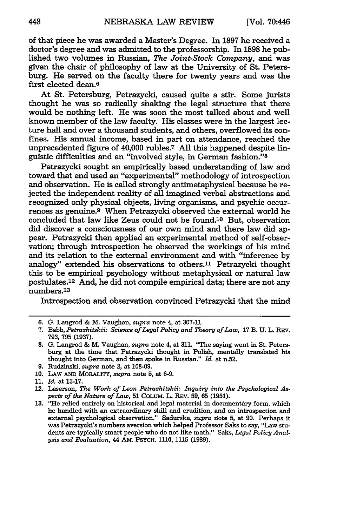of that piece he was awarded a Master's Degree. In **1897** he received a doctor's degree and was admitted to the professorship. In **1898** he published two volumes in Russian, *The Joint-Stock Company,* and was given the chair of philosophy of law at the University of St. Petersburg. He served on the faculty there for twenty years and was the first elected dean.<sup>6</sup>

At St. Petersburg, Petrazycki, caused quite a stir. Some jurists thought he was so radically shaking the legal structure that there would be nothing left. He was soon the most talked about and well known member of the law faculty. His classes were in the largest lecture hall and over a thousand students, and others, overflowed its confines. His annual income, based in part on attendance, reached the unprecedented figure of 40,000 rubles.7 All this happened despite linguistic difficulties and an "involved style, in German fashion."8

Petrazycki sought an empirically based understanding of law and toward that end used an "experimental" methodology of introspection and observation. He is called strongly antimetaphysical because he rejected the independent reality of all imagined verbal abstractions and recognized only physical objects, living organisms, and psychic occurrences as genuine.<sup>9</sup> When Petrazycki observed the external world he concluded that law like Zeus could not be found.<sup>10</sup> But, observation did discover a consciousness of our own mind and there law did appear. Petrazycki then applied an experimental method of self-observation; through introspection he observed the workings of his mind and its relation to the external environment and with "inference by analogy" extended his observations to others.<sup>11</sup> Petrazycki thought this to be empirical psychology without metaphysical or natural law postulates.12 And, he did not compile empirical data; there are not any numbers.<sup>13</sup>

Introspection and observation convinced Petrazycki that the mind

**<sup>6.</sup> G.** Langrod **&** M. Vaughan, *supra* note 4, at **307-11.**

**<sup>7.</sup>** Babb, *Petrazhitskii Science of Legal Policy and Theory of Law,* 17 B. **U.** L. REV. 793, **795** (1937).

**<sup>8.</sup> G.** Langrod & M. Vaughan, *supra* note 4, at 311. "The saying went in St. Petersburg at the time that Petrazycki thought in Polish, mentally translated his thought into German, and then spoke in Russian." *Id* at n.52.

<sup>9.</sup> Rudzinski, *supra* note 2, at 108-09.

**<sup>10.</sup>** LAw AND MORALITY, *supra* note **5,** at 6-9.

<sup>11.</sup> *Id-* at 13-17.

<sup>12.</sup> Laserson, *The Work of Leon Petrazhitskii: Inquiry into the Psychological Aspects of the Nature of Law,* 51 CoLuM. L. REV. 59, 65 (1951).

<sup>13. &</sup>quot;He relied entirely on historical and legal material in documentary form, which he handled with an extraordinary skill and erudition, and on introspection and external psychological observation." Sadurska, *supra* note 5, at 90. Perhaps it was Petrazycki's numbers aversion which helped Professor Saks to say, "Law students are typically smart people who do not like math." Saks, *Legal Policy Analysis and Evaluation,* 44 **AM.** PSYCH. 1110, 1115 (1989).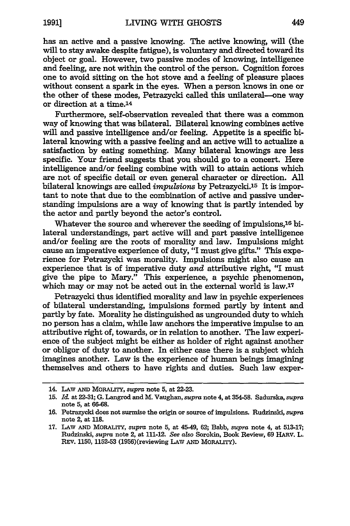has an active and a passive knowing. The active knowing, will (the will to stay awake despite fatigue), is voluntary and directed toward its object or goal. However, two passive modes of knowing, intelligence and feeling, are not within the control of the person. Cognition forces one to avoid sitting on the hot stove and a feeling of pleasure places without consent a spark in the eyes. When a person knows in one or the other of these modes, Petrazycki called this unilateral--one way or direction at a time.14

Furthermore, self-observation revealed that there was a common way of knowing that was bilateral. Bilateral knowing combines active will and passive intelligence and/or feeling. Appetite is a specific bilateral knowing with a passive feeling and an active will to actualize a satisfaction **by** eating something. Many bilateral knowings are less specific. Your friend suggests that you should go to a concert. Here intelligence and/or feeling combine with will to attain actions which are not of specific detail or even general character or direction. **All** bilateral knowings are called *impulsions* **by** Petrazycki.1 5 It is important to note that due to the combination of active and passive understanding impulsions are a way of knowing that is partly intended **by** the actor and partly beyond the actor's control.

Whatever the source and wherever the seeding of impulsions,<sup>16</sup> bilateral understandings, part active will and part passive intelligence and/or feeling are the roots of morality and law. Impulsions might cause an imperative experience of duty, "I must give gifts." This experience for Petrazycki was morality. Impulsions might also cause an experience that is of imperative duty *and* attributive right, "I must give the pipe to Mary." This experience, a psychic phenomenon, which may or may not be acted out in the external world is law.<sup>17</sup>

Petrazycki thus identified morality and law in psychic experiences of bilateral understanding, impulsions formed partly **by** intent and partly by fate. Morality he distinguished as ungrounded duty to which no person has a claim, while law anchors the imperative impulse to an attributive right of, towards, or in relation to another. The law experience of the subject might be either as holder of right against another or obligor of duty to another. In either case there is a subject which imagines another. Law is the experience of human beings imagining themselves and others to have rights and duties. Such law exper-

<sup>14.</sup> **LAw AND MORALiTY,** *supra* note **5,** at 22-23.

**<sup>15.</sup>** *I&* at **22-31; G.** Langrod and M. Vaughan, *supra* note 4, at **354-58.** Sadurska, *supra* note **5,** at **66-68.**

**<sup>16.</sup>** Petrazycki does not surmise the origin or source of impulsions. Rudzinski, *supra* note 2, at **118.**

**<sup>17.</sup>** LAW **AND** MORALrY, *supra* note **5,** at 45-49, 62; Babb, *supra* note 4, at 513-17; Rudzinski, *supra* note 2, at 111-12. *See also* Sorokin, Book Review, **69 HARV.** L. **REV. 1150, 1152-53** (1956)(reviewing **LAW AND** MORALrrY).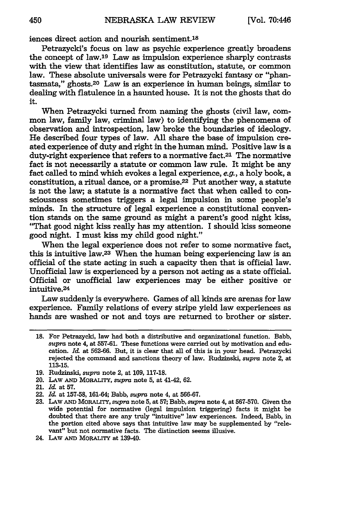iences direct action and nourish sentiment.<sup>18</sup>

Petrazycki's focus on law as psychic experience greatly broadens the concept of law.<sup>19</sup> Law as impulsion experience sharply contrasts with the view that identifies law as constitution, statute, or common law. These absolute universals were for Petrazycki fantasy or "phantasmata," ghosts.20 Law is an experience in human beings, similar to dealing with flatulence in a haunted house. It is not the ghosts that do it.

When Petrazycki turned from naming the ghosts (civil law, common law, family law, criminal law) to identifying the phenomena of observation and introspection, law broke the boundaries of ideology. He described four types of law. All share the base of impulsion created experience of duty and right in the human mind. Positive law is a duty-right experience that refers to a normative fact.21 The normative fact is not necessarily a statute or common law rule. It might be any fact called to mind which evokes a legal experience, e.g., a holy book, a constitution, a ritual dance, or a promise.22 Put another way, a statute is not the law; a statute is a normative fact that when called to consciousness sometimes triggers a legal impulsion in some people's minds. In the structure of legal experience a constitutional convention stands on the same ground as might a parent's good night kiss, "That good night kiss really has my attention. I should kiss someone good night. I must kiss my child good night."

When the legal experience does not refer to some normative fact, this is intuitive law.23 When the human being experiencing law is an official of the state acting in such a capacity then that is official law. Unofficial law is experienced by a person not acting as a state official. Official or unofficial law experiences may be either positive or **intuitive.24**

Law suddenly is everywhere. Games of all kinds are arenas for law experience. Family relations of every stripe yield law experiences as hands are washed or not and toys are returned to brother or sister.

**<sup>18.</sup>** For Petrazycki, law had both a distributive and organizational function. Babb, supra note 4, at **557-61.** These functions were carried out **by** motivation and education. *Id* at **562-66.** But, it is clear that all of this is in your head. Petrazycki rejected the command and sanctions theory of law. Rudzinski, supra note 2, at 113-15.

**<sup>19.</sup>** Rudzinski, supra note 2, at 109, 117-18.

<sup>20.</sup> LAW AND MORALiTY, supra note **5,** at 41-42, 62.

<sup>21.</sup> *Id-* at **57.**

<sup>22.</sup> *Id.* at **157-58,** 161-64; Babb, supra note 4, at 566-67.

<sup>23.</sup> LAW AND MORALITY, supra note 5, at 57; Babb, supra note 4, at 567-570. Given the wide potential for normative (legal impulsion triggering) facts it might be doubted that there are any truly "intuitive" law experiences. Indeed, Babb, in the portion cited above says that intuitive law may be supplemented by "relevant" but not normative facts. The distinction seems illusive.

<sup>24.</sup> LAw **AND** MORALrrY at 139-40.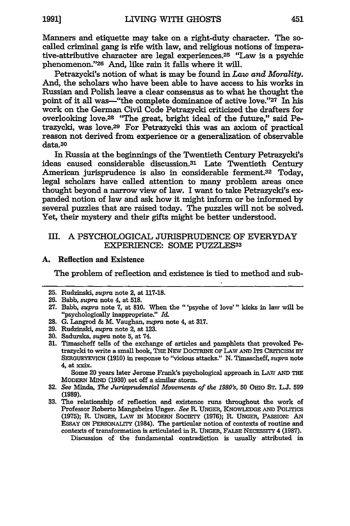Manners and etiquette may take on a right-duty character. The socalled criminal gang is rife with law, and religious notions of imperative-attributive character are legal experiences.25 "Law is a psychic phenomenon."26 And, like rain it falls where it will.

Petrazycki's notion of what is may be found in *Law and Morality.* And, the scholars who have been able to have access to his works in Russian and Polish leave a clear consensus as to what he thought the point of it all was--"the complete dominance of active love."27 In his work on the German Civil Code Petrazycki criticized the drafters for overlooking love.28 "The great, bright ideal of the future," said Petrazycki, was love.<sup>29</sup> For Petrazycki this was an axiom of practical reason not derived from experience or a generalization of observable data.30

In Russia at the beginnings of the Twentieth Century Petrazycki's ideas caused considerable discussion.<sup>31</sup> Late Twentieth Century American jurisprudence is also in considerable ferment.32 Today, legal scholars have called attention to many problem areas once thought beyond a narrow view of law. I want to take Petrazycki's expanded notion of law and ask how it might inform or be informed **by** several puzzles that are raised today. The puzzles **will** not be solved. Yet, their mystery and their gifts might be better understood.

## III. A PSYCHOLOGICAL **JURISPRUDENCE** OF EVERYDAY EXPERIENCE: **SOME PUZZLES33**

### **A.** Reflection and Existence

The problem of reflection and existence is tied to method and sub-

- **28. G.** Langrod & M. Vaughan, *supra* note 4, at **317.**
- **29.** Rudzinski, *supra* note 2, at **123.**
- **30.** Sadurska, *supra* note **5,** at 74.
- **31.** Timascheff tells of the exchange of articles and pamphlets that provoked Petrazycki to write a small book, THE NEW DOCTRINE OF LAW AND ITS CRITICISM BY **SERGUEYEVICH (1910)** in response to "vicious attacks." **N.** Timascheff, *supra* note 4, at **xxix.**

Some 20 years later Jerome Frank's psychological approach in **LAW AND THE MODERN MIND (1930)** set off a similar storm.

- **32.** *See* Minda, *The Jurisprudential Movements of the 1980's,* **50 OHIO ST. L.J. 599 (1989).**
- **33.** The relationship of reflection and existence runs throughout the work of Professor Roberto Mangabeira Unger. *See* **R. UNGER, KNOWLEDGE AND POLITICS** (1975); R. **UNGER, LAW IN** MODERN SOCIETY **(1976); R. UNGER, PASSION: AN** ESSAY **ON PERsONALITY** (1984). The particular notion of contexts of routine and contexts of transformation is articulated in **R. UNGER, FALSE NEcEssrrY 4 (1987).**

Discussion of the fundamental contradiction is usually attributed in

**<sup>25.</sup>** Rudzinski, supra **note** 2, at **117-18.**

**<sup>26.</sup>** Babb, supra note 4, at **518.**

**<sup>27.</sup>** Babb, supra note **7,** at **810.** When the "'psyche of love"' kicks in law will **be** "psychologically inappropriate." *I&.*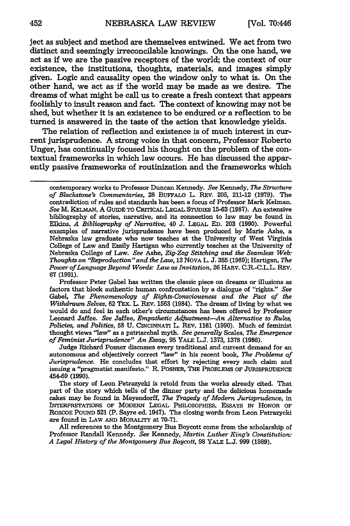ject as subject and method are themselves entwined. We act from two distinct and seemingly irreconcilable knowings. On the one hand, we act as if we are the passive receptors of the world; the context of our existence, the institutions, thoughts, materials, and images simply given. Logic and causality open the window only to what is. On the other hand, we act as if the world may be made as we desire. The dreams of what might be call us to create a fresh context that appears foolishly to insult reason and fact. The context of knowing may not be shed, but whether it is an existence to be endured or a reflection to be turned is answered in the taste of the action that knowledge yields.

The relation of reflection and existence is of much interest in current jurisprudence. A strong voice in that concern, Professor Roberto Unger, has continually focused his thought on the problem of the contextual frameworks in which law occurs. He has discussed the apparently passive frameworks of routinization and the frameworks which

Professor Peter Gabel has written the classic piece on dreams or illusions as factors that block authentic human confrontation by a dialogue of "rights." *See* Gabel, *The Phenomenology of Rights-Consciousness and the Pact of the Withdrawn Selves,* **62** TEX. L. REV. 1563 (1984). The dream of living by what we would do and feel in each other's circumstances has been offered by Professor Leonard Jaffee. *See* Jaffee, *Empathetic Adjustment-An Alternative to Rules, Policies, and Politics,* **58** U. CINCINNATI L. REv. 1161 (1990). Much of feminist thought views "law" as a patriarchal myth. *See generally* Scales, *The Emergence of Feminist Jurisprudence" An Essay,* **95** YALE L.J. 1373, 1378 (1986).

Judge Richard Posner discusses every traditional and current demand for an autonomous and objectively correct "law" in his recent book, *The Problems of Jurisprudence.* He concludes that effort by rejecting every such claim and issuing a "pragmatist manifesto." R. POSNER, THE PROBLEMS OF JURISPRUDENCE 454-69 (1990).

The story of Leon Petrazycki is retold from the works already cited. That part of the story which tells of the dinner party and the delicious homemade cakes may be found in Meyendorff, *The Tragedy of Modern Jurisprudence,* in INTERPRETATIONS OF MODERN LEGAL PHILOSOPHIES, ESSAYS **IN** HONOR OF ROSCOE POUND **521** (P. Sayre ed. 1947). The closing words from Leon Petrazycki are found in LAw **AND** MORALITY at **70-71.**

**All** references to the Montgomery Bus Boycott come from the scholarship of Professor Randall Kennedy. *See* Kennedy, *Martin Luther King's Constitution: A Legal History of the Montgomery Bus Boycott,* 98 YALE L.J. 999 (1989).

contemporary works to Professor Duncan Kennedy. *See* Kennedy, *The Structure of Blackstone's Commentaries,* **28** BUFFALO L. REV. **205,** 211-12 **(1979).** The contradiction of rules and standards has been a focus of Professor Mark Kelman. *See* M. KELMAN, A **GUIDE** TO CRITICAL LEGAL STUDIES **15-63 (1987).** An extensive bibliography of stories, narrative, and its connection to law may be found in Elkins, *A Bibliography of Narrative,* 40 J. LEGAL ED. 203 (1990). Powerful examples of narrative jurisprudence have been produced by Marie Ashe, a Nebraska law graduate who now teaches at the University of West Virginia College of Law and Emily Hartigan who currently teaches at the University of Nebraska College of Law. *See* Ashe, *Zig-Zag Stitching and the Seamless Web: Thoughts on "Reproduction" and the Law,* **13** NOVA L. J. **355** (1989); Hartigan, *The Power of Language Beyond Words: Law as Invitation,* 26 HARv. C.R.-C.L.L. REV. 67 (1991).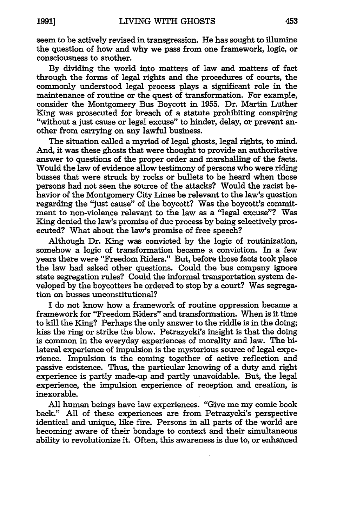seem to be actively revised in transgression. He has sought to illumine the question of how and why we pass from one framework, logic, or consciousness to another.

**By** dividing the world into matters of law and matters of fact through the forms of legal rights and the procedures of courts, the commonly understood legal process plays a significant role in the maintenance of routine or the quest of transformation. For example, consider the Montgomery Bus Boycott in **1955.** Dr. Martin Luther King was prosecuted for breach of a statute prohibiting conspiring "without a just cause or legal excuse" to hinder, delay, or prevent another from carrying on any lawful business.

The situation called a myriad of legal ghosts, legal rights, to mind. And, it was these ghosts that were thought to provide an authoritative answer to questions of the proper order and marshalling of the facts. Would the law of evidence allow testimony of persons who were riding busses that were struck **by** rocks or bullets to be heard when those persons had not seen the source of the attacks? Would the racist behavior of the Montgomery City Lines be relevant to the law's question regarding the "just cause" of the boycott? Was the boycott's commitment to non-violence relevant to the law as a "legal excuse"? Was King denied the law's promise of due process **by** being selectively prosecuted? What about the law's promise of free speech?

Although Dr. King was convicted **by** the logic of routinization, somehow a logic of transformation became a conviction. In a few years there were "Freedom Riders." But, before those facts took place the law had asked other questions. Could the bus company ignore state segregation rules? Could the informal transportation system developed **by** the boycotters be ordered to stop **by** a court? Was segregation on busses unconstitutional?

I do not know how a framework of routine oppression became a framework for "Freedom Riders" and transformation. When is it time to kill the King? Perhaps the only answer to the riddle is in the doing, kiss the ring or strike the blow. Petrazycki's insight is that the doing is common in the everyday experiences of morality and law. The bilateral experience of impulsion is the mysterious source of legal experience. Impulsion is the coming together of active reflection and passive existence. Thus, the particular knowing of a duty and right experience is partly made-up and partly unavoidable. But, the legal experience, the impulsion experience of reception and creation, is inexorable.

**All** human beings have law experiences. "Give me my comic book back." **All** of these experiences are from Petrazycki's perspective identical and unique, like fire. Persons in all parts of the world are becoming aware of their bondage to context and their simultaneous ability to revolutionize it. Often, this awareness is due to, or enhanced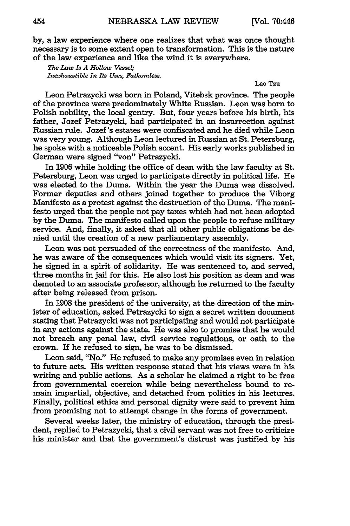by, a law experience where one realizes that what was once thought necessary is to some extent open to transformation. This is the nature of the law experience and like the wind it is everywhere.

*The Law Is A Hollow Vessel; Inexhaustible In Its Uses, Fathomless.*

#### Lao Tzu

Leon Petrazycki was born in Poland, Vitebsk province. The people of the province were predominately White Russian. Leon was born to Polish nobility, the local gentry. But, four years before his birth, his father, Jozef Petrazycki, had participated in an insurrection against Russian rule. Jozef 's estates were confiscated and he died while Leon was very young. Although Leon lectured in Russian at St. Petersburg, he spoke with a noticeable Polish accent. His early works published in German were signed "von" Petrazycki.

In 1906 while holding the office of dean with the law faculty at St. Petersburg, Leon was urged to participate directly in political life. He was elected to the Duma. Within the year the Duma was dissolved. Former deputies and others joined together to produce the Viborg Manifesto as a protest against the destruction of the Duma. The manifesto urged that the people not pay taxes which had not been adopted by the Duma. The manifesto called upon the people to refuse military service. And, finally, it asked that all other public obligations be denied until the creation of a new parliamentary assembly.

Leon was not persuaded of the correctness of the manifesto. And, he was aware of the consequences which would visit its signers. Yet, he signed in a spirit of solidarity. He was sentenced to, and served, three months in jail for this. He also lost his position as dean and was demoted to an associate professor, although he returned to the faculty after being released from prison.

In 1908 the president of the university, at the direction of the minister of education, asked Petrazycki to sign a secret written document stating that Petrazycki was not participating and would not participate in any actions against the state. He was also to promise that he would not breach any penal law, civil service regulations, or oath to the crown. If he refused to sign, he was to be dismissed.

Leon said, "No." He refused to make any promises even in relation to future acts. His written response stated that his views were in his writing and public actions. As a scholar he claimed a right to be free from governmental coercion while being nevertheless bound to remain impartial, objective, and detached from politics in his lectures. Finally, political ethics and personal dignity were said to prevent him from promising not to attempt change in the forms of government.

Several weeks later, the ministry of education, through the president, replied to Petrazycki, that a civil servant was not free to criticize his minister and that the government's distrust was justified by his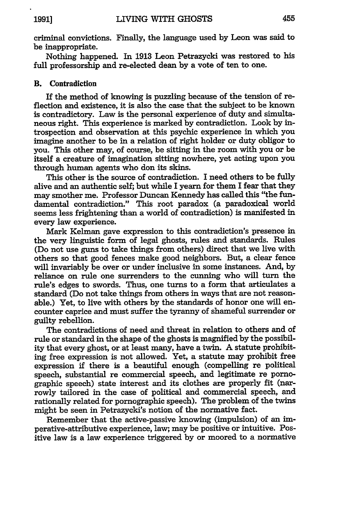criminal convictions. Finally, the language used **by** Leon was said to be inappropriate.

Nothing happened. In **1913** Leon Petrazycki was restored to his full professorship and re-elected dean **by** a vote of ten to one.

### B. Contradiction

If the method of knowing is puzzling because of the tension of reflection and existence, it is also the **case** that the subject to be known is contradictory. Law is the personal experience of duty and simultaneous right. This experience is marked **by** contradiction. Look **by** introspection and observation at this psychic experience in which you imagine another to be in a relation of right holder or duty obligor to you. This other may, of course, be sitting in the room with you or be itself a creature of imagination sitting nowhere, yet acting upon you through human agents who don its skins.

This other is the source of contradiction. I need others to be **fully** alive and an authentic self; but while I yearn for them I fear that they may smother me. Professor Duncan Kennedy has called this "the fundamental contradiction." This root paradox (a paradoxical world seems less frightening than a world of contradiction) is manifested in every law experience.

Mark Kelman gave expression to this contradiction's presence in the very linguistic form of legal ghosts, rules and standards. Rules (Do not use guns to take things from others) direct that we live with others so that good fences make good neighbors. But, a clear fence will invariably be over or under inclusive in some instances. And, by reliance on rule one surrenders to the cunning who will turn the rule's edges to swords. Thus, one turns to a form that articulates a standard (Do not take things from others in ways that are not reasonable.) Yet, to live with others by the standards of honor one will encounter caprice and must suffer the tyranny of shameful surrender or guilty rebellion.

The contradictions of need and threat in relation to others and of rule or standard in the shape of the ghosts is magnified by the possibility that every ghost, or at least many, have a twin. A statute prohibiting free expression is not allowed. Yet, a statute may prohibit free expression if there is a beautiful enough (compelling re political speech, substantial re commercial speech, and legitimate re pornographic speech) state interest and its clothes are properly fit (narrowly tailored in the case of political and commercial speech, and rationally related for pornographic speech). The problem of the twins might be seen in Petrazycki's notion of the normative fact.

Remember that the active-passive knowing (impulsion) of an imperative-attributive experience, law; may be positive or intuitive. Positive law is a law experience triggered by or moored to a normative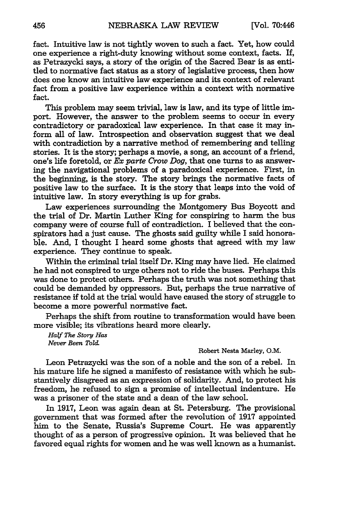fact. Intuitive law is not tightly woven to such a fact. Yet, how could one experience a right-duty knowing without some context, facts. If, as Petrazycki says, a story of the origin of the Sacred Bear is as entitled to normative fact status as a story of legislative process, then how does one know an intuitive law experience and its context of relevant fact from a positive law experience within a context with normative fact.

This problem may seem trivial, law is law, and its type of little import. However, the answer to the problem seems to occur in every contradictory or paradoxical law experience. In that case it may inform all of law. Introspection and observation suggest that we deal with contradiction by a narrative method of remembering and telling stories. It is the story; perhaps a movie, a song, an account of a friend, one's life foretold, or  $Ex$  parte Crow Dog, that one turns to as answering the navigational problems of a paradoxical experience. First, in the beginning, is the story. The story brings the normative facts of positive law to the surface. It is the story that leaps into the void of intuitive law. In story everything is up for grabs.

Law experiences surrounding the Montgomery Bus Boycott and the trial of Dr. Martin Luther King for conspiring to harm the bus company were of course full of contradiction. I believed that the conspirators had a just cause. The ghosts said guilty while I said honorable. And, I thought I heard some ghosts that agreed with my law experience. They continue to speak.

Within the criminal trial itself Dr. King may have lied. He claimed he had not conspired to urge others not to ride the buses. Perhaps this was done to protect others. Perhaps the truth was not something that could be demanded by oppressors. But, perhaps the true narrative of resistance if told at the trial would have caused the story of struggle to become a more powerful normative fact.

Perhaps the shift from routine to transformation would have been more visible; its vibrations heard more clearly.

*Half Vie Story Has Never Been Told*

#### Robert Nesta Marley, O.M.

Leon Petrazycki was the son of a noble and the son of a rebel. In his mature life he signed a manifesto of resistance with which he substantively disagreed as an expression of solidarity. And, to protect his freedom, he refused to sign a promise of intellectual indenture. He was a prisoner of the state and a dean of the law school.

In **1917,** Leon was again dean at St. Petersburg. The provisional government that was formed after the revolution of 1917 appointed him to the Senate, Russia's Supreme Court. He was apparently thought of as a person of progressive opinion. It was believed that he favored equal rights for women and he was well known as a humanist.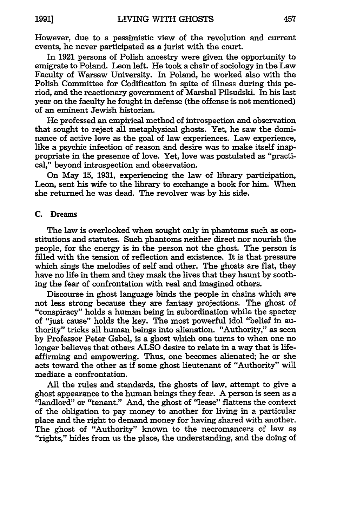**1991]**

However, due to a pessimistic view of the revolution and current events, he never participated as a jurist with the court.

In **1921** persons of Polish ancestry were given the opportunity to emigrate to Poland. Leon left. He took a chair of sociology in the Law Faculty of Warsaw University. In Poland, he worked also with the Polish Committee for Codification in spite of illness during this period, and the reactionary government of Marshal Pilsudski. In his last year on the faculty he fought in defense (the offense is not mentioned) of an eminent Jewish historian.

He professed an empirical method of introspection and observation that sought to reject all metaphysical ghosts. Yet, he saw the dominance of active love as the goal of law experiences. Law experience, like a psychic infection of reason and desire was to make itself inappropriate in the presence of love. Yet, love was postulated as "practical," beyond introspection and observation.

On May **15, 1931,** experiencing the law of library participation, Leon, sent his wife to the library to exchange a book for him. When she returned he was dead. The revolver was **by** his side.

## **C. Dreams**

The law is overlooked when sought only in phantoms such as constitutions and statutes. Such phantoms neither direct nor nourish the people, for the energy is in the person not the ghost. The person is filled with the tension of reflection and existence. It is that pressure which sings the melodies of self and other. The ghosts are flat, they have no life in them and they mask the lives that they haunt **by** soothing the fear of confrontation with real and imagined others.

Discourse in ghost language binds the people in chains which are not less strong because they are fantasy projections. The ghost of "conspiracy" holds a human being in subordination while the specter of "just cause" holds the key. The most powerful idol "belief in authority" tricks all human beings into alienation. "Authority," as seen **by** Professor Peter Gabel, is a ghost which one turns to when one no longer believes that others **ALSO** desire to relate in a way that is lifeaffirming and empowering. Thus, one becomes alienated; he or she acts toward the other as if some ghost lieutenant of "Authority" will mediate a confrontation.

All the rules and standards, the ghosts of law, attempt to give a ghost appearance to the human beings they fear. A person is seen as a "landlord" or "tenant." And, the ghost of "lease" flattens the context of the obligation to pay money to another for living in a particular place and the right to demand money for having shared with another. The ghost of "Authority" known to the necromancers of law as "rights," hides from us the place, the understanding, and the doing of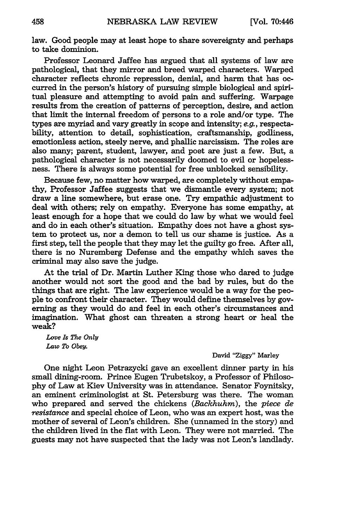law. Good people may at least hope to share sovereignty and perhaps to take dominion.

Professor Leonard Jaffee has argued that all systems of law are pathological, that they mirror and breed warped characters. Warped character reflects chronic repression, denial, and harm that has occurred in the person's history of pursuing simple biological and spiritual pleasure and attempting to avoid pain and suffering. Warpage results from the creation of patterns of perception, desire, and action that limit the internal freedom of persons to a role and/or type. The types are myriad and vary greatly in scope and intensity; *e.g.,* respectability, attention to detail, sophistication, craftsmanship, godliness, emotionless action, steely nerve, and phallic narcissism. The roles are also many; parent, student, lawyer, and poet are just a few. But, a pathological character is not necessarily doomed to evil or hopelessness. There is always some potential for free unblocked sensibility.

Because few, no matter how warped, are completely without empathy, Professor Jaffee suggests that we dismantle every system; not draw a line somewhere, but erase one. Try empathic adjustment to deal with others; rely on empathy. Everyone has some empathy, at least enough for a hope that we could do law by what we would feel and do in each other's situation. Empathy does not have a ghost system to protect us, nor a demon to tell us our shame is justice. As a first step, tell the people that they may let the guilty go free. After all, there is no Nuremberg Defense and the empathy which saves the criminal may also save the judge.

At the trial of Dr. Martin Luther King those who dared to judge another would not sort the good and the bad by rules, but do the things that are right. The law experience would be a way for the people to confront their character. They would define themselves by governing as they would do and feel in each other's circumstances and imagination. What ghost can threaten a strong heart or heal the weak?

*Love Is The Only Law To Obey.*

#### David "Ziggy" Marley

One night Leon Petrazycki gave an excellent dinner party in his small dining-room. Prince Eugen Trubetskoy, a Professor of Philosophy of Law at Kiev University was in attendance. Senator Foynitsky, an eminent criminologist at St. Petersburg was there. The woman who prepared and served the chickens *(Backhuhm),* the *piece de resistance* and special choice of Leon, who was an expert host, was the mother of several of Leon's children. She (unnamed in the story) and the children lived in the flat with Leon. They were not married. The guests may not have suspected that the lady was not Leon's landlady.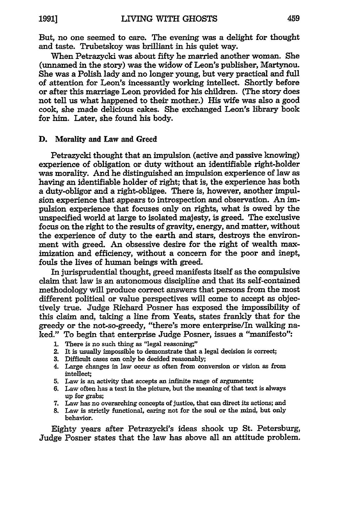But, no one seemed to care. The evening was a delight for thought and taste. Trubetskoy was brilliant in his quiet way.

When Petrazycki was about fifty he married another woman. She (unnamed in the story) was the widow of Leon's publisher, Martynou. She was a Polish lady and no longer young, but very practical and **full** of attention for Leon's incessantly working intellect. Shortly before or after this marriage Leon provided for his children. (The story does not tell us what happened to their mother.) His wife was also a good cook, she made delicious cakes. She exchanged Leon's library book for him. Later, she found his body.

## **D.** Morality and Law and Greed

Petrazycki thought that an impulsion (active and passive knowing) experience of obligation or duty without an identifiable right-holder was morality. And he distinguished an impulsion experience of law as having an identifiable holder of right; that is, the experience has both a duty-obligor and a right-obligee. There is, however, another impulsion experience that appears to introspection and observation. An impulsion experience that focuses only on rights, what is owed **by** the unspecified world at large to isolated majesty, is greed. The exclusive focus on the right to the results of gravity, energy, and matter, without the experience of duty to the earth and stars, destroys the environment with greed. An obsessive desire for the right of wealth maximization and efficiency, without a concern for the poor and inept, fouls the lives of human beings with greed.

In jurisprudential thought, greed manifests itself as the compulsive claim that law is an autonomous disciplihe and that its self-contained methodology will produce correct answers that persons from the most different political or value perspectives **will** come to accept as objectively true. Judge Richard Posner has exposed the impossibility of this claim and, taking a line from Yeats, states frankly that for the greedy or the not-so-greedy, "there's more enterprise/In walking naked." To begin that enterprise Judge Posner, issues a "manifesto":

- **1.** There is no such thing as "legal reasoning,"
- 2. It is usually impossible to demonstrate that a legal decision is correct;
- **3.** Difficult cases can only be decided reasonably;
- 4. Large changes in law occur as often from conversion or vision as from intellect;
- **5.** Law is an activity that accepts an infinite range of arguments;
- **6.** Law often has a text in the picture, but the meaning of that text is always up for grabs;
- **7.** Law has no overarching concepts of justice, that can direct its actions; and
- **8.** Law is strictly functional, caring not for the soul or the mind, but only behavior.

Eighty years after Petrazycki's ideas shook up St. Petersburg, Judge Posner states that the law has above all an attitude problem.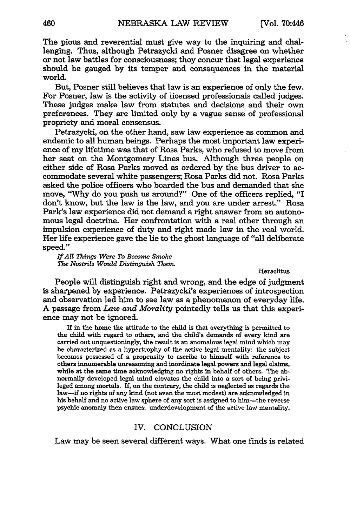The pious and reverential must give way to the inquiring and challenging. Thus, although Petrazycki and Posner disagree on whether or not law battles for consciousness; they concur that legal experience should be gauged by its temper and consequences in the material world.

But, Posner still believes that law is an experience of only the few. For Posner, law is the activity of licensed professionals called judges. These judges make law from statutes and decisions and their own preferences. They are limited only by a vague sense of professional propriety and moral consensus.

Petrazycki, on the other hand, saw law experience as common and endemic to all human beings. Perhaps the most important law experience of my lifetime was that of Rosa Parks, who refused to move from her seat on the Montgomery Lines bus. Although three people on either side of Rosa Parks moved as ordered by the bus driver to accommodate several white passengers; Rosa Parks did not. Rosa Parks asked the police officers who boarded the bus and demanded that she move, "Why do you push us around?" One of the officers replied, "I don't know, but the law is the law, and you are under arrest." Rosa Park's law experience did not demand a right answer from an autonomous legal doctrine. Her confrontation with a real other through an impulsion experience of duty and right made law in the real world. Her life experience gave the lie to the ghost language of "all deliberate speed."

*If All Things Were To Become Smoke The Nostrils Would Distinguish Them*

**Heraclitus** 

People will distinguish right and wrong, and the edge of judgment is sharpened by experience. Petrazycki's experiences of introspection and observation led him to see law as a phenomenon of everyday life. A passage from *Law and Morality* pointedly tells us that this experience may not be ignored.

If in the home the attitude to the child is that everything is permitted to the child with regard to others, and the child's demands of every kind are carried out unquestioningly, the result is an anomalous legal mind which may be characterized as a hypertrophy of the active legal mentality: the subject becomes possessed of a propensity to ascribe to himself with reference to others innumerable unreasoning and inordinate legal powers and legal claims, while at the same time acknowledging no rights in behalf of others. The abnormally developed legal mind elevates the child into a sort of being privileged among mortals. **If,** on the contrary, the child is neglected as regards the law-if no rights of any kind (not even the most modest) are acknowledged in his behalf and no active law sphere of any sort is assigned to him-the reverse psychic anomaly then ensues: underdevelopment of the active law mentality.

#### IV. **CONCLUSION**

Law may be seen several different ways. What one finds is related